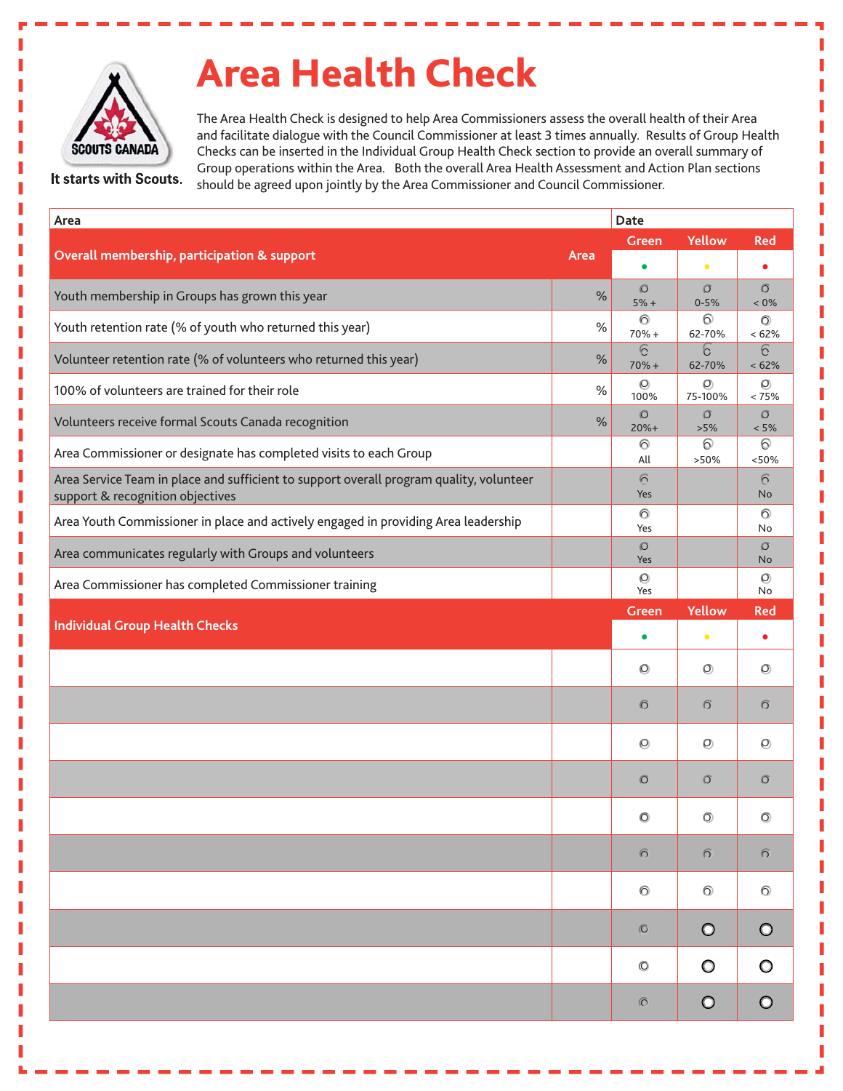

It starts with Scouts.

## **Area Health Check**

The Area Health Check is designed to help Area Commissioners assess the overall health of their Area and facilitate dialogue with the Council Commissioner at least 3 times annually. Results of Group Health Checks can be inserted in the Individual Group Health Check section to provide an overall summary of Group operations within the Area. Both the overall Area Health Assessment and Action Plan sections should be agreed upon jointly by the Area Commissioner and Council Commissioner.

| Area                                                                                                                        |      | Date                          |                     |                           |
|-----------------------------------------------------------------------------------------------------------------------------|------|-------------------------------|---------------------|---------------------------|
|                                                                                                                             | Area | <b>Yellow</b><br><b>Green</b> |                     | <b>Red</b>                |
| Overall membership, participation & support                                                                                 |      | $\bullet$                     | $\bullet$           |                           |
| Youth membership in Groups has grown this year                                                                              | $\%$ | $\circ$<br>$5% +$             | $\circ$<br>$0 - 5%$ | $\overline{O}$<br>$< 0\%$ |
| Youth retention rate (% of youth who returned this year)                                                                    | $\%$ | $\odot$<br>$70% +$            | $\odot$<br>62-70%   | $\circledcirc$<br>< 62%   |
| Volunteer retention rate (% of volunteers who returned this year)                                                           | $\%$ | $\sqrt{6}$<br>$70% +$         | b<br>62-70%         | 6<br>< 62%                |
| 100% of volunteers are trained for their role                                                                               | $\%$ | $\circledcirc$<br>100%        | $\circ$<br>75-100%  | $\circledcirc$<br>< 75%   |
| Volunteers receive formal Scouts Canada recognition                                                                         | %    | $\circledcirc$<br>$20%+$      | $\circ$<br>>5%      | $\circ$<br>$< 5\%$        |
| Area Commissioner or designate has completed visits to each Group                                                           |      | $\odot$<br>All                | $\odot$<br>>50%     | 0<br>< 50%                |
| Area Service Team in place and sufficient to support overall program quality, volunteer<br>support & recognition objectives |      | $\overline{6}$<br>Yes         |                     | $\sqrt{6}$<br><b>No</b>   |
| Area Youth Commissioner in place and actively engaged in providing Area leadership                                          |      | $\odot$<br>Yes                |                     | $\odot$<br>No             |
| Area communicates regularly with Groups and volunteers                                                                      |      | $\circ$<br>Yes                |                     | $\circ$<br><b>No</b>      |
| Area Commissioner has completed Commissioner training                                                                       |      | $\circ$<br>Yes                |                     | $\circledcirc$<br>No      |
| <b>Individual Group Health Checks</b>                                                                                       |      | <b>Green</b>                  | <b>Yellow</b>       | <b>Red</b>                |
|                                                                                                                             |      | $\bullet$                     | $\bullet$           | $\bullet$                 |
|                                                                                                                             |      | $\circledcirc$                | $\circledcirc$      | $\circledcirc$            |
|                                                                                                                             |      | $\sigma$                      | $\sigma$            | $\sigma$                  |
|                                                                                                                             |      | $\circledcirc$                | $\circledcirc$      | O                         |
|                                                                                                                             |      | $\circ$                       | $\circ$             | $\circ$                   |
|                                                                                                                             |      | $\circ$                       | $\circledcirc$      | $\circledcirc$            |
|                                                                                                                             |      | $\odot$                       | $\sqrt{2}$          | $\sqrt{2}$                |
|                                                                                                                             |      | $\odot$                       | $\odot$             | $\odot$                   |
|                                                                                                                             |      | $\circ$                       | $\circ$             | $\circ$                   |
|                                                                                                                             |      | $\circledcirc$                | $\circ$             | $\circ$                   |
|                                                                                                                             |      | $\sigma$                      | $\circ$             | $\circ$                   |